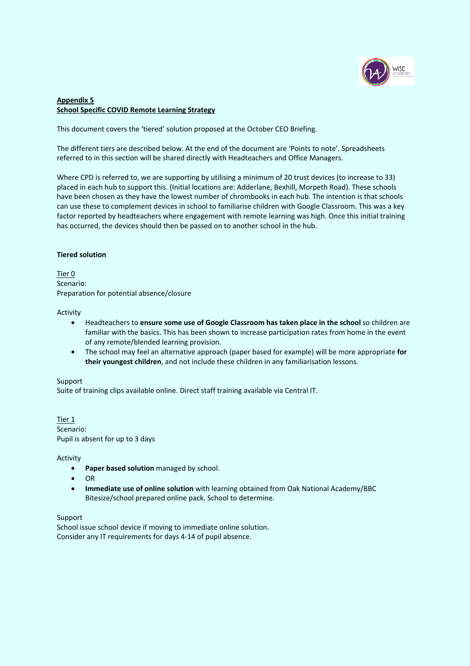

# **Appendix 5 School Specific COVID Remote Learning Strategy**

This document covers the 'tiered' solution proposed at the October CEO Briefing.

The different tiers are described below. At the end of the document are 'Points to note'. Spreadsheets referred to in this section will be shared directly with Headteachers and Office Managers.

Where CPD is referred to, we are supporting by utilising a minimum of 20 trust devices (to increase to 33) placed in each hub to support this. (Initial locations are: Adderlane, Bexhill, Morpeth Road). These schools have been chosen as they have the lowest number of chrombooks in each hub. The intention is that schools can use these to complement devices in school to familiarise children with Google Classroom. This was a key factor reported by headteachers where engagement with remote learning was high. Once this initial training has occurred, the devices should then be passed on to another school in the hub.

### **Tiered solution**

Tier 0 Scenario: Preparation for potential absence/closure

Activity

- Headteachers to **ensure some use of Google Classroom has taken place in the school** so children are familiar with the basics. This has been shown to increase participation rates from home in the event of any remote/blended learning provision.
- The school may feel an alternative approach (paper based for example) will be more appropriate **for their youngest children**, and not include these children in any familiarisation lessons.

### Support

Suite of training clips available online. Direct staff training available via Central IT.

Tier 1 Scenario: Pupil is absent for up to 3 days

Activity

- **Paper based solution** managed by school.
- OR
- **Immediate use of online solution** with learning obtained from Oak National Academy/BBC Bitesize/school prepared online pack. School to determine.

Support

School issue school device if moving to immediate online solution. Consider any IT requirements for days 4-14 of pupil absence.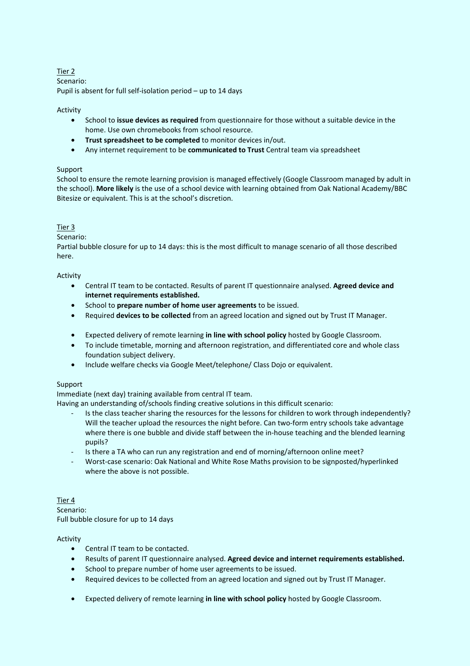# Tier 2

Scenario: Pupil is absent for full self-isolation period – up to 14 days

## Activity

- School to **issue devices as required** from questionnaire for those without a suitable device in the home. Use own chromebooks from school resource.
- **Trust spreadsheet to be completed** to monitor devices in/out.
- Any internet requirement to be **communicated to Trust** Central team via spreadsheet

# Support

School to ensure the remote learning provision is managed effectively (Google Classroom managed by adult in the school). **More likely** is the use of a school device with learning obtained from Oak National Academy/BBC Bitesize or equivalent. This is at the school's discretion.

## Tier 3

## Scenario:

Partial bubble closure for up to 14 days: this is the most difficult to manage scenario of all those described here.

### Activity

- Central IT team to be contacted. Results of parent IT questionnaire analysed. **Agreed device and internet requirements established.**
- School to **prepare number of home user agreements** to be issued.
- Required **devices to be collected** from an agreed location and signed out by Trust IT Manager.
- Expected delivery of remote learning **in line with school policy** hosted by Google Classroom.
- To include timetable, morning and afternoon registration, and differentiated core and whole class foundation subject delivery.
- Include welfare checks via Google Meet/telephone/ Class Dojo or equivalent.

### Support

Immediate (next day) training available from central IT team.

Having an understanding of/schools finding creative solutions in this difficult scenario:

- Is the class teacher sharing the resources for the lessons for children to work through independently? Will the teacher upload the resources the night before. Can two-form entry schools take advantage where there is one bubble and divide staff between the in-house teaching and the blended learning pupils?
- Is there a TA who can run any registration and end of morning/afternoon online meet?
- Worst-case scenario: Oak National and White Rose Maths provision to be signposted/hyperlinked where the above is not possible.

## Tier 4 Scenario: Full bubble closure for up to 14 days

# Activity

- Central IT team to be contacted.
- Results of parent IT questionnaire analysed. **Agreed device and internet requirements established.**
- School to prepare number of home user agreements to be issued.
- Required devices to be collected from an agreed location and signed out by Trust IT Manager.
- Expected delivery of remote learning **in line with school policy** hosted by Google Classroom.